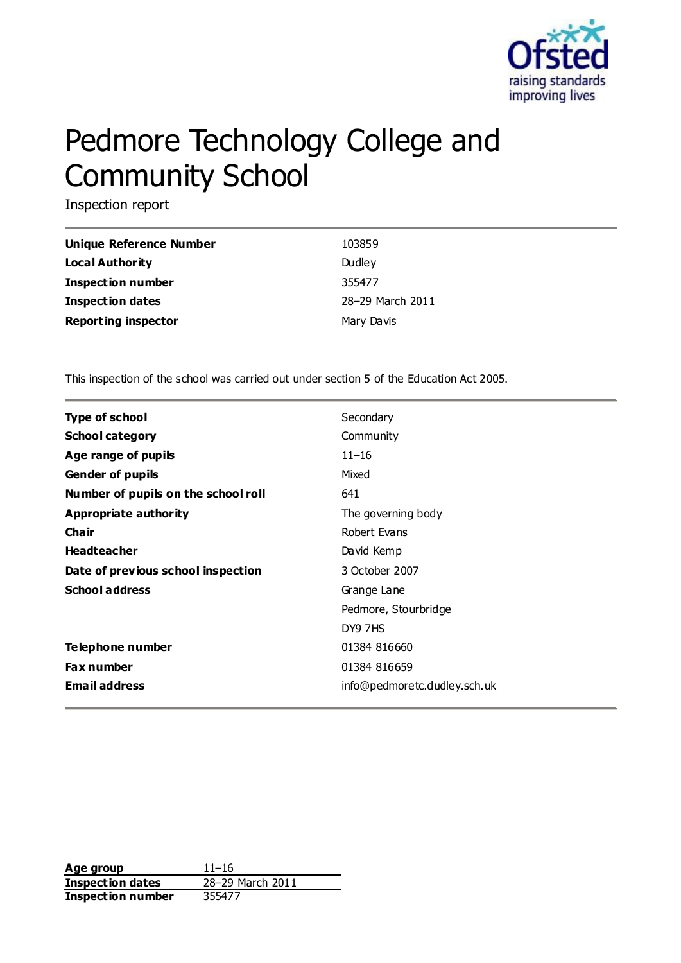

# Pedmore Technology College and Community School

Inspection report

| Unique Reference Number    | 103859           |
|----------------------------|------------------|
| Local Authority            | Dudley           |
| <b>Inspection number</b>   | 355477           |
| Inspection dates           | 28-29 March 2011 |
| <b>Reporting inspector</b> | Mary Davis       |

This inspection of the school was carried out under section 5 of the Education Act 2005.

| <b>Type of school</b>               | Secondary                    |
|-------------------------------------|------------------------------|
| <b>School category</b>              | Community                    |
|                                     |                              |
| Age range of pupils                 | $11 - 16$                    |
| <b>Gender of pupils</b>             | Mixed                        |
| Number of pupils on the school roll | 641                          |
| Appropriate authority               | The governing body           |
| Cha ir                              | Robert Evans                 |
| <b>Headteacher</b>                  | David Kemp                   |
| Date of previous school inspection  | 3 October 2007               |
| <b>School address</b>               | Grange Lane                  |
|                                     | Pedmore, Stourbridge         |
|                                     | DY9 7HS                      |
| Telephone number                    | 01384 816660                 |
| <b>Fax number</b>                   | 01384 816659                 |
| <b>Email address</b>                | info@pedmoretc.dudley.sch.uk |

**Age group** 11–16 **Inspection dates** 28–29 March 2011 **Inspection number** 355477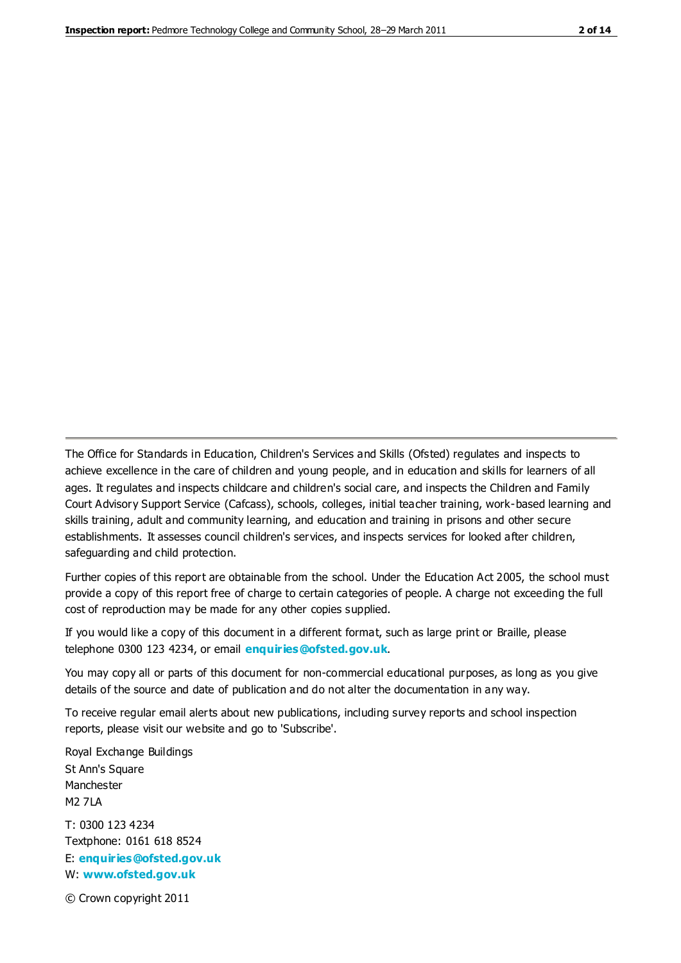The Office for Standards in Education, Children's Services and Skills (Ofsted) regulates and inspects to achieve excellence in the care of children and young people, and in education and skills for learners of all ages. It regulates and inspects childcare and children's social care, and inspects the Children and Family Court Advisory Support Service (Cafcass), schools, colleges, initial teacher training, work-based learning and skills training, adult and community learning, and education and training in prisons and other secure establishments. It assesses council children's services, and inspects services for looked after children, safeguarding and child protection.

Further copies of this report are obtainable from the school. Under the Education Act 2005, the school must provide a copy of this report free of charge to certain categories of people. A charge not exceeding the full cost of reproduction may be made for any other copies supplied.

If you would like a copy of this document in a different format, such as large print or Braille, please telephone 0300 123 4234, or email **[enquiries@ofsted.gov.uk](mailto:enquiries@ofsted.gov.uk)**.

You may copy all or parts of this document for non-commercial educational purposes, as long as you give details of the source and date of publication and do not alter the documentation in any way.

To receive regular email alerts about new publications, including survey reports and school inspection reports, please visit our website and go to 'Subscribe'.

Royal Exchange Buildings St Ann's Square Manchester M2 7LA T: 0300 123 4234 Textphone: 0161 618 8524 E: **[enquiries@ofsted.gov.uk](mailto:enquiries@ofsted.gov.uk)**

W: **[www.ofsted.gov.uk](http://www.ofsted.gov.uk/)**

© Crown copyright 2011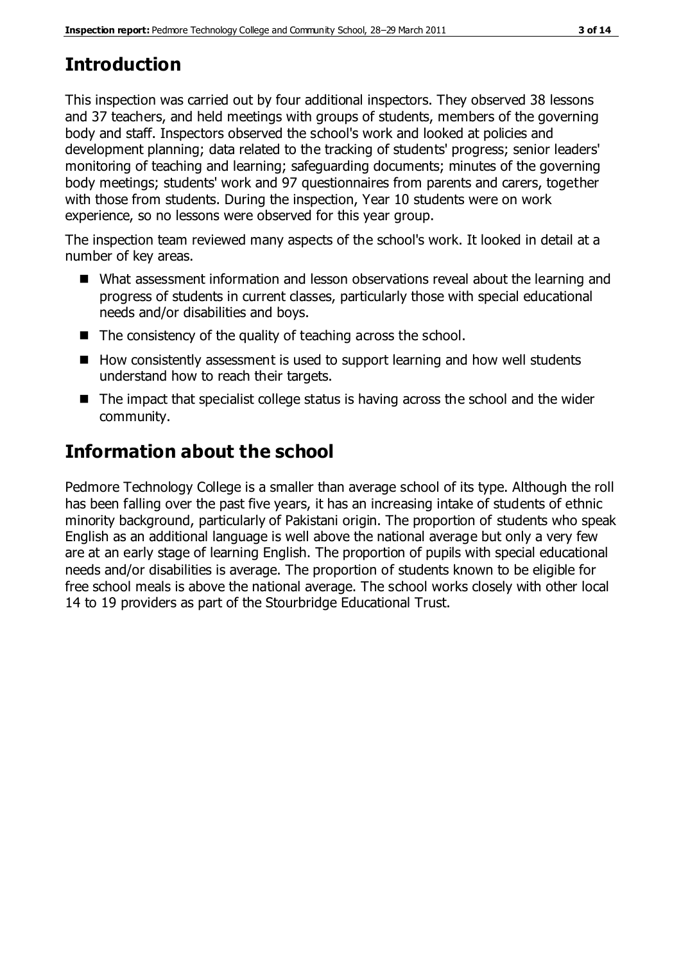# **Introduction**

This inspection was carried out by four additional inspectors. They observed 38 lessons and 37 teachers, and held meetings with groups of students, members of the governing body and staff. Inspectors observed the school's work and looked at policies and development planning; data related to the tracking of students' progress; senior leaders' monitoring of teaching and learning; safeguarding documents; minutes of the governing body meetings; students' work and 97 questionnaires from parents and carers, together with those from students. During the inspection, Year 10 students were on work experience, so no lessons were observed for this year group.

The inspection team reviewed many aspects of the school's work. It looked in detail at a number of key areas.

- What assessment information and lesson observations reveal about the learning and progress of students in current classes, particularly those with special educational needs and/or disabilities and boys.
- The consistency of the quality of teaching across the school.
- $\blacksquare$  How consistently assessment is used to support learning and how well students understand how to reach their targets.
- The impact that specialist college status is having across the school and the wider community.

# **Information about the school**

Pedmore Technology College is a smaller than average school of its type. Although the roll has been falling over the past five years, it has an increasing intake of students of ethnic minority background, particularly of Pakistani origin. The proportion of students who speak English as an additional language is well above the national average but only a very few are at an early stage of learning English. The proportion of pupils with special educational needs and/or disabilities is average. The proportion of students known to be eligible for free school meals is above the national average. The school works closely with other local 14 to 19 providers as part of the Stourbridge Educational Trust.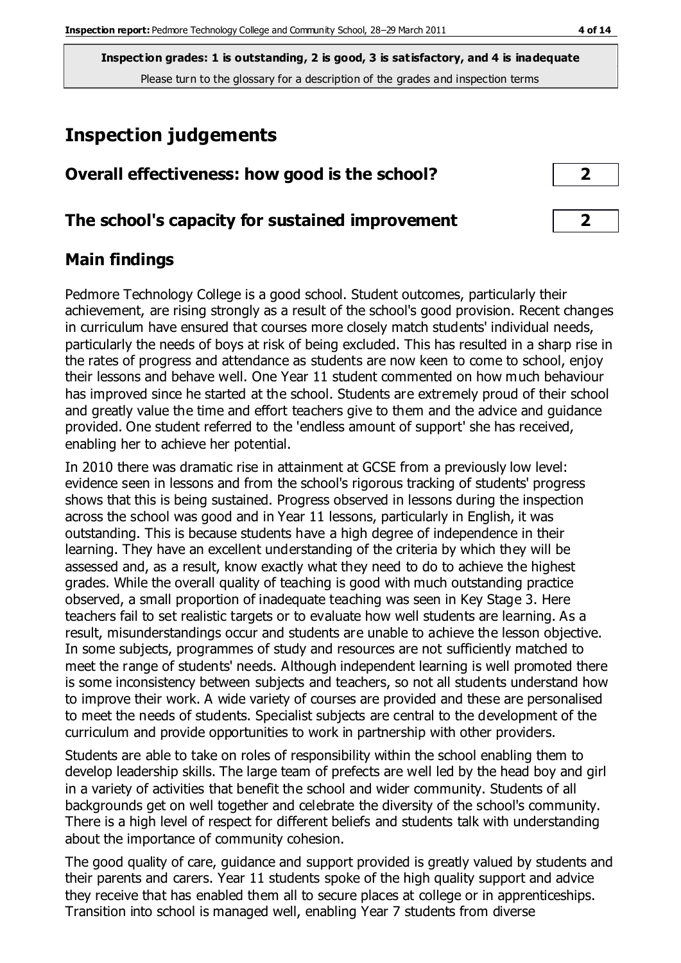# **Inspection judgements**

| Overall effectiveness: how good is the school? |  |
|------------------------------------------------|--|
|------------------------------------------------|--|

#### **The school's capacity for sustained improvement 2**

#### **Main findings**

Pedmore Technology College is a good school. Student outcomes, particularly their achievement, are rising strongly as a result of the school's good provision. Recent changes in curriculum have ensured that courses more closely match students' individual needs, particularly the needs of boys at risk of being excluded. This has resulted in a sharp rise in the rates of progress and attendance as students are now keen to come to school, enjoy their lessons and behave well. One Year 11 student commented on how much behaviour has improved since he started at the school. Students are extremely proud of their school and greatly value the time and effort teachers give to them and the advice and guidance provided. One student referred to the 'endless amount of support' she has received, enabling her to achieve her potential.

In 2010 there was dramatic rise in attainment at GCSE from a previously low level: evidence seen in lessons and from the school's rigorous tracking of students' progress shows that this is being sustained. Progress observed in lessons during the inspection across the school was good and in Year 11 lessons, particularly in English, it was outstanding. This is because students have a high degree of independence in their learning. They have an excellent understanding of the criteria by which they will be assessed and, as a result, know exactly what they need to do to achieve the highest grades. While the overall quality of teaching is good with much outstanding practice observed, a small proportion of inadequate teaching was seen in Key Stage 3. Here teachers fail to set realistic targets or to evaluate how well students are learning. As a result, misunderstandings occur and students are unable to achieve the lesson objective. In some subjects, programmes of study and resources are not sufficiently matched to meet the range of students' needs. Although independent learning is well promoted there is some inconsistency between subjects and teachers, so not all students understand how to improve their work. A wide variety of courses are provided and these are personalised to meet the needs of students. Specialist subjects are central to the development of the curriculum and provide opportunities to work in partnership with other providers.

Students are able to take on roles of responsibility within the school enabling them to develop leadership skills. The large team of prefects are well led by the head boy and girl in a variety of activities that benefit the school and wider community. Students of all backgrounds get on well together and celebrate the diversity of the school's community. There is a high level of respect for different beliefs and students talk with understanding about the importance of community cohesion.

The good quality of care, guidance and support provided is greatly valued by students and their parents and carers. Year 11 students spoke of the high quality support and advice they receive that has enabled them all to secure places at college or in apprenticeships. Transition into school is managed well, enabling Year 7 students from diverse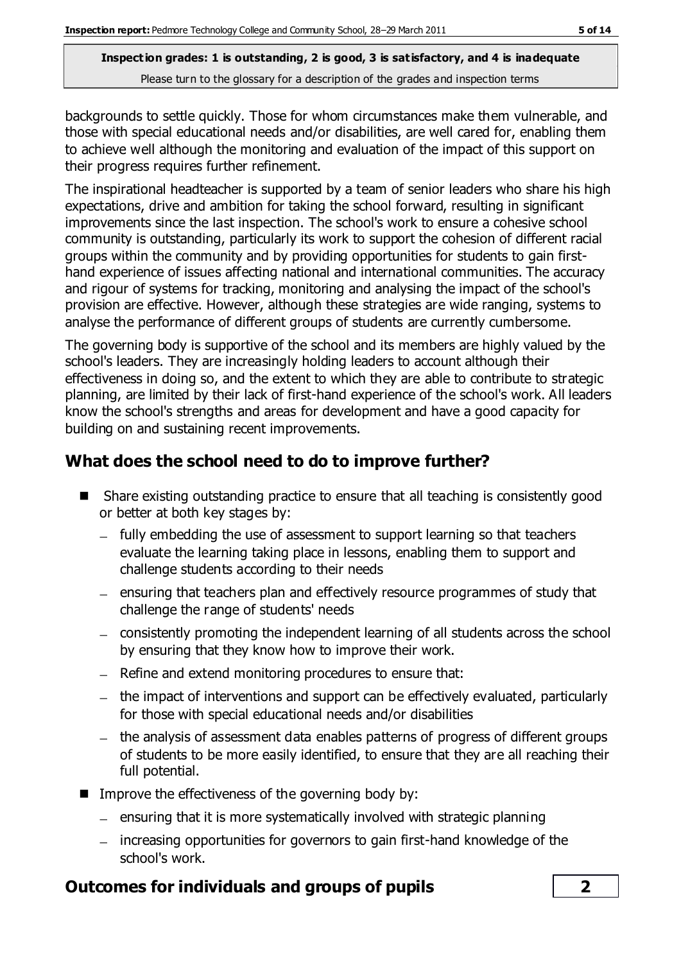backgrounds to settle quickly. Those for whom circumstances make them vulnerable, and those with special educational needs and/or disabilities, are well cared for, enabling them to achieve well although the monitoring and evaluation of the impact of this support on their progress requires further refinement.

The inspirational headteacher is supported by a team of senior leaders who share his high expectations, drive and ambition for taking the school forward, resulting in significant improvements since the last inspection. The school's work to ensure a cohesive school community is outstanding, particularly its work to support the cohesion of different racial groups within the community and by providing opportunities for students to gain firsthand experience of issues affecting national and international communities. The accuracy and rigour of systems for tracking, monitoring and analysing the impact of the school's provision are effective. However, although these strategies are wide ranging, systems to analyse the performance of different groups of students are currently cumbersome.

The governing body is supportive of the school and its members are highly valued by the school's leaders. They are increasingly holding leaders to account although their effectiveness in doing so, and the extent to which they are able to contribute to strategic planning, are limited by their lack of first-hand experience of the school's work. All leaders know the school's strengths and areas for development and have a good capacity for building on and sustaining recent improvements.

## **What does the school need to do to improve further?**

- Share existing outstanding practice to ensure that all teaching is consistently good or better at both key stages by:
	- fully embedding the use of assessment to support learning so that teachers evaluate the learning taking place in lessons, enabling them to support and challenge students according to their needs
	- $-$  ensuring that teachers plan and effectively resource programmes of study that challenge the range of students' needs
	- consistently promoting the independent learning of all students across the school by ensuring that they know how to improve their work.
	- $-$  Refine and extend monitoring procedures to ensure that:
	- $-$  the impact of interventions and support can be effectively evaluated, particularly for those with special educational needs and/or disabilities
	- the analysis of assessment data enables patterns of progress of different groups of students to be more easily identified, to ensure that they are all reaching their full potential.
- $\blacksquare$  Improve the effectiveness of the governing body by:
	- $-$  ensuring that it is more systematically involved with strategic planning
	- increasing opportunities for governors to gain first-hand knowledge of the school's work.

## **Outcomes for individuals and groups of pupils 2**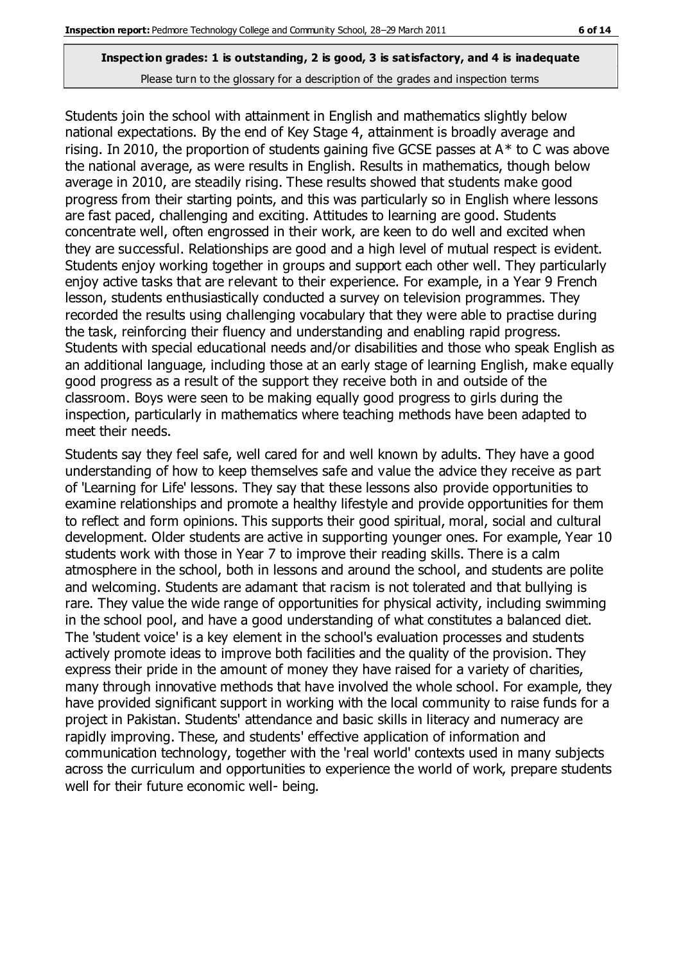Students join the school with attainment in English and mathematics slightly below national expectations. By the end of Key Stage 4, attainment is broadly average and rising. In 2010, the proportion of students gaining five GCSE passes at  $A^*$  to C was above the national average, as were results in English. Results in mathematics, though below average in 2010, are steadily rising. These results showed that students make good progress from their starting points, and this was particularly so in English where lessons are fast paced, challenging and exciting. Attitudes to learning are good. Students concentrate well, often engrossed in their work, are keen to do well and excited when they are successful. Relationships are good and a high level of mutual respect is evident. Students enjoy working together in groups and support each other well. They particularly enjoy active tasks that are relevant to their experience. For example, in a Year 9 French lesson, students enthusiastically conducted a survey on television programmes. They recorded the results using challenging vocabulary that they were able to practise during the task, reinforcing their fluency and understanding and enabling rapid progress. Students with special educational needs and/or disabilities and those who speak English as an additional language, including those at an early stage of learning English, make equally good progress as a result of the support they receive both in and outside of the classroom. Boys were seen to be making equally good progress to girls during the inspection, particularly in mathematics where teaching methods have been adapted to meet their needs.

Students say they feel safe, well cared for and well known by adults. They have a good understanding of how to keep themselves safe and value the advice they receive as part of 'Learning for Life' lessons. They say that these lessons also provide opportunities to examine relationships and promote a healthy lifestyle and provide opportunities for them to reflect and form opinions. This supports their good spiritual, moral, social and cultural development. Older students are active in supporting younger ones. For example, Year 10 students work with those in Year 7 to improve their reading skills. There is a calm atmosphere in the school, both in lessons and around the school, and students are polite and welcoming. Students are adamant that racism is not tolerated and that bullying is rare. They value the wide range of opportunities for physical activity, including swimming in the school pool, and have a good understanding of what constitutes a balanced diet. The 'student voice' is a key element in the school's evaluation processes and students actively promote ideas to improve both facilities and the quality of the provision. They express their pride in the amount of money they have raised for a variety of charities, many through innovative methods that have involved the whole school. For example, they have provided significant support in working with the local community to raise funds for a project in Pakistan. Students' attendance and basic skills in literacy and numeracy are rapidly improving. These, and students' effective application of information and communication technology, together with the 'real world' contexts used in many subjects across the curriculum and opportunities to experience the world of work, prepare students well for their future economic well- being.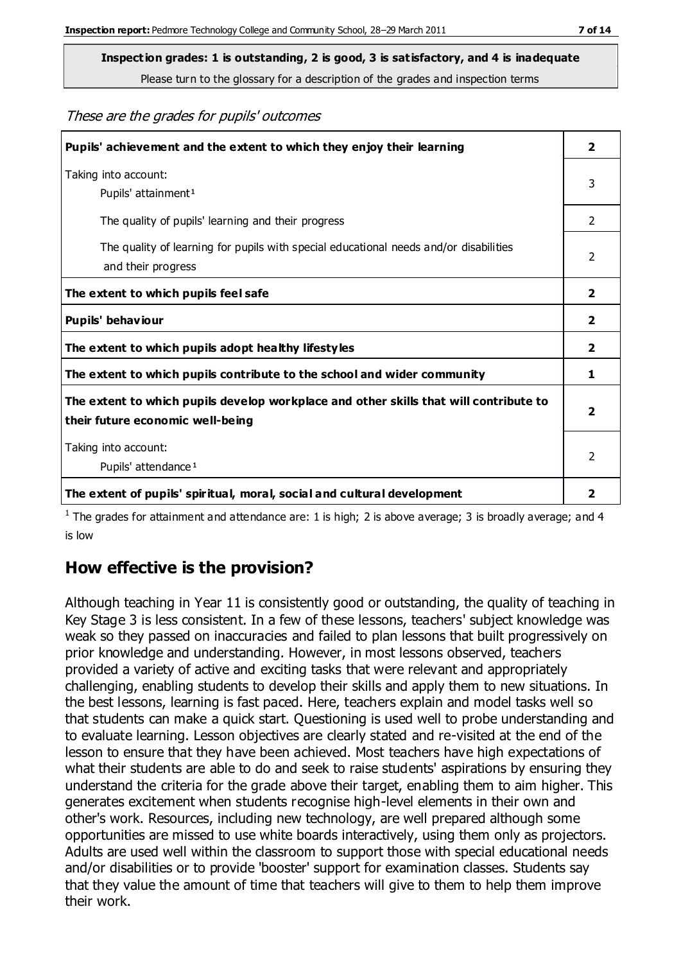**Inspection grades: 1 is outstanding, 2 is good, 3 is satisfactory, and 4 is inadequate**

Please turn to the glossary for a description of the grades and inspection terms

#### These are the grades for pupils' outcomes

| Pupils' achievement and the extent to which they enjoy their learning                                                     |               |
|---------------------------------------------------------------------------------------------------------------------------|---------------|
| Taking into account:<br>Pupils' attainment <sup>1</sup>                                                                   | 3             |
| The quality of pupils' learning and their progress                                                                        | $\mathcal{P}$ |
| The quality of learning for pupils with special educational needs and/or disabilities<br>and their progress               | 2             |
| The extent to which pupils feel safe                                                                                      | 2             |
| Pupils' behaviour                                                                                                         | 2             |
| The extent to which pupils adopt healthy lifestyles                                                                       | 2             |
| The extent to which pupils contribute to the school and wider community                                                   | 1             |
| The extent to which pupils develop workplace and other skills that will contribute to<br>their future economic well-being |               |
| Taking into account:<br>Pupils' attendance <sup>1</sup>                                                                   | $\mathcal{P}$ |
| The extent of pupils' spiritual, moral, social and cultural development                                                   | 2             |

<sup>1</sup> The grades for attainment and attendance are: 1 is high; 2 is above average; 3 is broadly average; and 4 is low

## **How effective is the provision?**

Although teaching in Year 11 is consistently good or outstanding, the quality of teaching in Key Stage 3 is less consistent. In a few of these lessons, teachers' subject knowledge was weak so they passed on inaccuracies and failed to plan lessons that built progressively on prior knowledge and understanding. However, in most lessons observed, teachers provided a variety of active and exciting tasks that were relevant and appropriately challenging, enabling students to develop their skills and apply them to new situations. In the best lessons, learning is fast paced. Here, teachers explain and model tasks well so that students can make a quick start. Questioning is used well to probe understanding and to evaluate learning. Lesson objectives are clearly stated and re-visited at the end of the lesson to ensure that they have been achieved. Most teachers have high expectations of what their students are able to do and seek to raise students' aspirations by ensuring they understand the criteria for the grade above their target, enabling them to aim higher. This generates excitement when students recognise high-level elements in their own and other's work. Resources, including new technology, are well prepared although some opportunities are missed to use white boards interactively, using them only as projectors. Adults are used well within the classroom to support those with special educational needs and/or disabilities or to provide 'booster' support for examination classes. Students say that they value the amount of time that teachers will give to them to help them improve their work.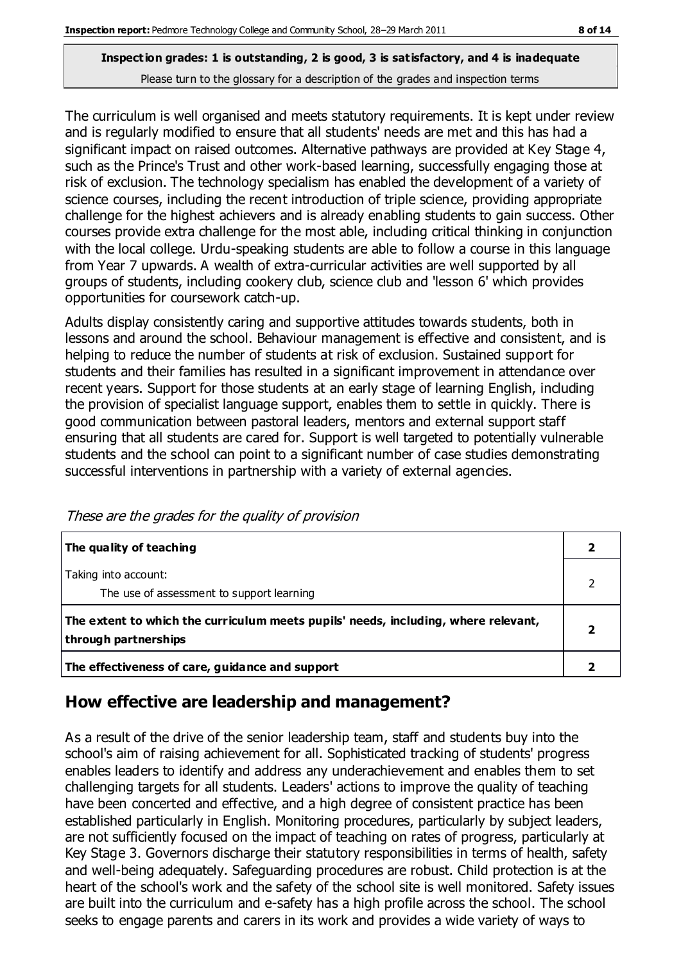The curriculum is well organised and meets statutory requirements. It is kept under review and is regularly modified to ensure that all students' needs are met and this has had a significant impact on raised outcomes. Alternative pathways are provided at Key Stage 4, such as the Prince's Trust and other work-based learning, successfully engaging those at risk of exclusion. The technology specialism has enabled the development of a variety of science courses, including the recent introduction of triple science, providing appropriate challenge for the highest achievers and is already enabling students to gain success. Other courses provide extra challenge for the most able, including critical thinking in conjunction with the local college. Urdu-speaking students are able to follow a course in this language from Year 7 upwards. A wealth of extra-curricular activities are well supported by all groups of students, including cookery club, science club and 'lesson 6' which provides opportunities for coursework catch-up.

Adults display consistently caring and supportive attitudes towards students, both in lessons and around the school. Behaviour management is effective and consistent, and is helping to reduce the number of students at risk of exclusion. Sustained support for students and their families has resulted in a significant improvement in attendance over recent years. Support for those students at an early stage of learning English, including the provision of specialist language support, enables them to settle in quickly. There is good communication between pastoral leaders, mentors and external support staff ensuring that all students are cared for. Support is well targeted to potentially vulnerable students and the school can point to a significant number of case studies demonstrating successful interventions in partnership with a variety of external agencies.

| The quality of teaching                                                                                    |  |
|------------------------------------------------------------------------------------------------------------|--|
| Taking into account:<br>The use of assessment to support learning                                          |  |
| The extent to which the curriculum meets pupils' needs, including, where relevant,<br>through partnerships |  |
| The effectiveness of care, guidance and support                                                            |  |

These are the grades for the quality of provision

## **How effective are leadership and management?**

As a result of the drive of the senior leadership team, staff and students buy into the school's aim of raising achievement for all. Sophisticated tracking of students' progress enables leaders to identify and address any underachievement and enables them to set challenging targets for all students. Leaders' actions to improve the quality of teaching have been concerted and effective, and a high degree of consistent practice has been established particularly in English. Monitoring procedures, particularly by subject leaders, are not sufficiently focused on the impact of teaching on rates of progress, particularly at Key Stage 3. Governors discharge their statutory responsibilities in terms of health, safety and well-being adequately. Safeguarding procedures are robust. Child protection is at the heart of the school's work and the safety of the school site is well monitored. Safety issues are built into the curriculum and e-safety has a high profile across the school. The school seeks to engage parents and carers in its work and provides a wide variety of ways to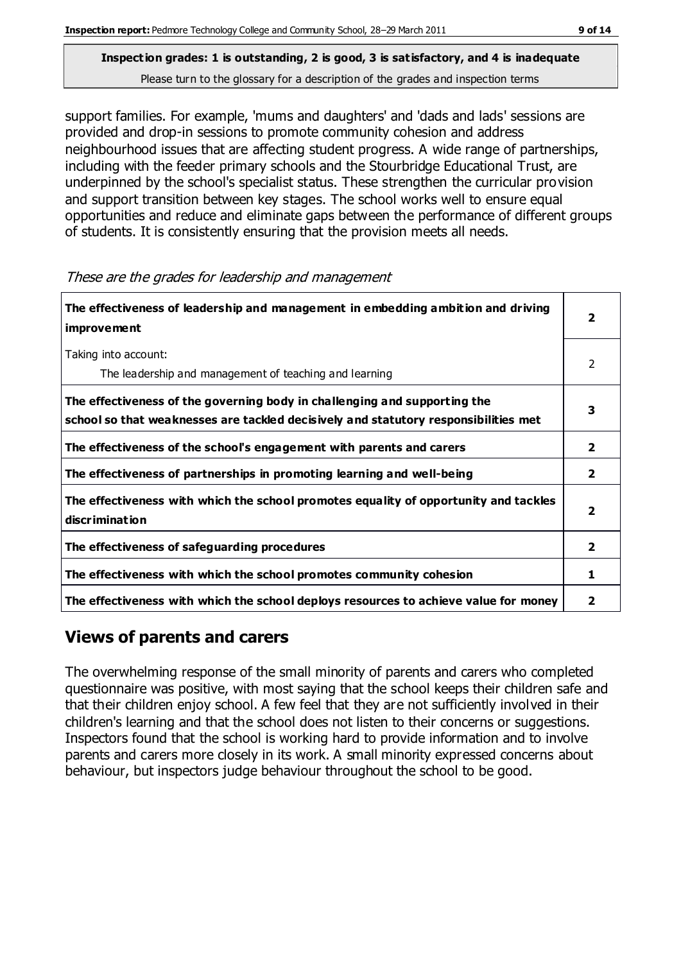support families. For example, 'mums and daughters' and 'dads and lads' sessions are provided and drop-in sessions to promote community cohesion and address neighbourhood issues that are affecting student progress. A wide range of partnerships, including with the feeder primary schools and the Stourbridge Educational Trust, are underpinned by the school's specialist status. These strengthen the curricular provision and support transition between key stages. The school works well to ensure equal opportunities and reduce and eliminate gaps between the performance of different groups of students. It is consistently ensuring that the provision meets all needs.

| The effectiveness of leadership and management in embedding ambition and driving<br><i>improvement</i>                                                           |               |
|------------------------------------------------------------------------------------------------------------------------------------------------------------------|---------------|
| Taking into account:<br>The leadership and management of teaching and learning                                                                                   | $\mathcal{P}$ |
| The effectiveness of the governing body in challenging and supporting the<br>school so that weaknesses are tackled decisively and statutory responsibilities met | 3             |
| The effectiveness of the school's engagement with parents and carers                                                                                             | $\mathbf{2}$  |
| The effectiveness of partnerships in promoting learning and well-being                                                                                           | $\mathbf{2}$  |
| The effectiveness with which the school promotes equality of opportunity and tackles<br>discrimination                                                           | 2             |
| The effectiveness of safeguarding procedures                                                                                                                     | 2             |
| The effectiveness with which the school promotes community cohesion                                                                                              | 1             |
| The effectiveness with which the school deploys resources to achieve value for money                                                                             | 2             |

These are the grades for leadership and management

# **Views of parents and carers**

The overwhelming response of the small minority of parents and carers who completed questionnaire was positive, with most saying that the school keeps their children safe and that their children enjoy school. A few feel that they are not sufficiently involved in their children's learning and that the school does not listen to their concerns or suggestions. Inspectors found that the school is working hard to provide information and to involve parents and carers more closely in its work. A small minority expressed concerns about behaviour, but inspectors judge behaviour throughout the school to be good.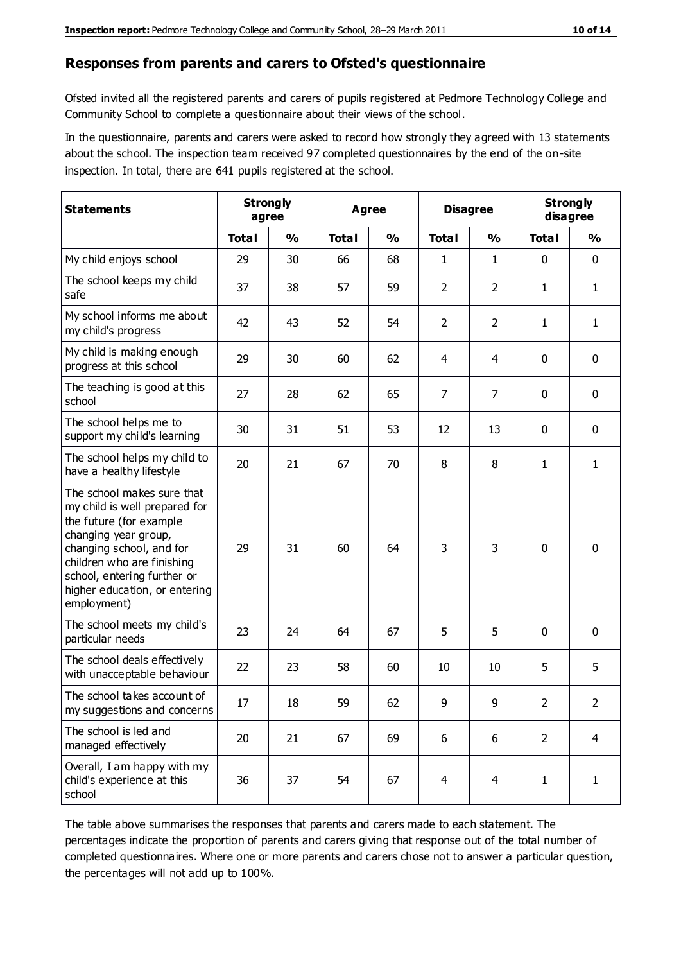#### **Responses from parents and carers to Ofsted's questionnaire**

Ofsted invited all the registered parents and carers of pupils registered at Pedmore Technology College and Community School to complete a questionnaire about their views of the school.

In the questionnaire, parents and carers were asked to record how strongly they agreed with 13 statements about the school. The inspection team received 97 completed questionnaires by the end of the on-site inspection. In total, there are 641 pupils registered at the school.

| <b>Statements</b>                                                                                                                                                                                                                                       | <b>Strongly</b><br>agree |               | <b>Agree</b> |               | <b>Disagree</b> |                | <b>Strongly</b><br>disagree |                |
|---------------------------------------------------------------------------------------------------------------------------------------------------------------------------------------------------------------------------------------------------------|--------------------------|---------------|--------------|---------------|-----------------|----------------|-----------------------------|----------------|
|                                                                                                                                                                                                                                                         | <b>Total</b>             | $\frac{1}{2}$ | <b>Total</b> | $\frac{0}{0}$ | <b>Total</b>    | $\frac{0}{0}$  | <b>Total</b>                | $\frac{1}{2}$  |
| My child enjoys school                                                                                                                                                                                                                                  | 29                       | 30            | 66           | 68            | 1               | $\mathbf{1}$   | $\mathbf 0$                 | $\mathbf 0$    |
| The school keeps my child<br>safe                                                                                                                                                                                                                       | 37                       | 38            | 57           | 59            | $\overline{2}$  | $\overline{2}$ | 1                           | $\mathbf{1}$   |
| My school informs me about<br>my child's progress                                                                                                                                                                                                       | 42                       | 43            | 52           | 54            | $\overline{2}$  | $\overline{2}$ | $\mathbf{1}$                | $\mathbf{1}$   |
| My child is making enough<br>progress at this school                                                                                                                                                                                                    | 29                       | 30            | 60           | 62            | 4               | 4              | $\mathbf 0$                 | $\mathbf 0$    |
| The teaching is good at this<br>school                                                                                                                                                                                                                  | 27                       | 28            | 62           | 65            | $\overline{7}$  | $\overline{7}$ | 0                           | $\mathbf 0$    |
| The school helps me to<br>support my child's learning                                                                                                                                                                                                   | 30                       | 31            | 51           | 53            | 12              | 13             | $\mathbf 0$                 | $\mathbf 0$    |
| The school helps my child to<br>have a healthy lifestyle                                                                                                                                                                                                | 20                       | 21            | 67           | 70            | 8               | 8              | $\mathbf{1}$                | $\mathbf{1}$   |
| The school makes sure that<br>my child is well prepared for<br>the future (for example<br>changing year group,<br>changing school, and for<br>children who are finishing<br>school, entering further or<br>higher education, or entering<br>employment) | 29                       | 31            | 60           | 64            | 3               | 3              | $\mathbf 0$                 | $\mathbf 0$    |
| The school meets my child's<br>particular needs                                                                                                                                                                                                         | 23                       | 24            | 64           | 67            | 5               | 5              | $\mathbf 0$                 | $\mathbf 0$    |
| The school deals effectively<br>with unacceptable behaviour                                                                                                                                                                                             | 22                       | 23            | 58           | 60            | 10              | 10             | 5                           | 5              |
| The school takes account of<br>my suggestions and concerns                                                                                                                                                                                              | 17                       | 18            | 59           | 62            | 9               | 9              | $\overline{2}$              | 2              |
| The school is led and<br>managed effectively                                                                                                                                                                                                            | 20                       | 21            | 67           | 69            | 6               | 6              | $\overline{2}$              | $\overline{4}$ |
| Overall, I am happy with my<br>child's experience at this<br>school                                                                                                                                                                                     | 36                       | 37            | 54           | 67            | $\overline{4}$  | $\overline{4}$ | $\mathbf{1}$                | $\mathbf{1}$   |

The table above summarises the responses that parents and carers made to each statement. The percentages indicate the proportion of parents and carers giving that response out of the total number of completed questionnaires. Where one or more parents and carers chose not to answer a particular question, the percentages will not add up to 100%.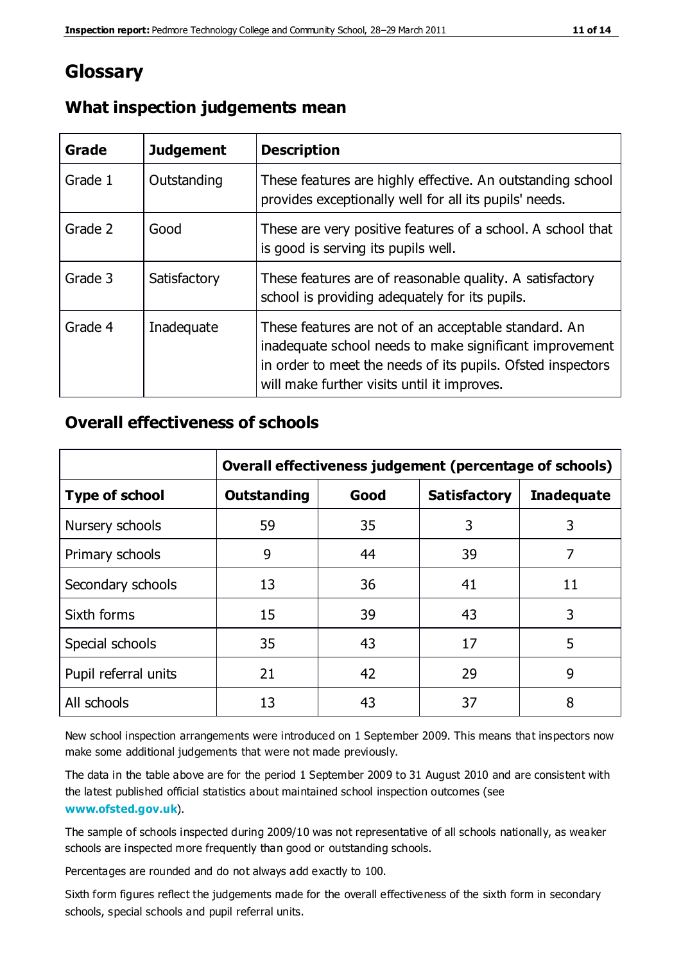# **Glossary**

| Grade   | <b>Judgement</b> | <b>Description</b>                                                                                                                                                                                                            |
|---------|------------------|-------------------------------------------------------------------------------------------------------------------------------------------------------------------------------------------------------------------------------|
| Grade 1 | Outstanding      | These features are highly effective. An outstanding school<br>provides exceptionally well for all its pupils' needs.                                                                                                          |
| Grade 2 | Good             | These are very positive features of a school. A school that<br>is good is serving its pupils well.                                                                                                                            |
| Grade 3 | Satisfactory     | These features are of reasonable quality. A satisfactory<br>school is providing adequately for its pupils.                                                                                                                    |
| Grade 4 | Inadequate       | These features are not of an acceptable standard. An<br>inadequate school needs to make significant improvement<br>in order to meet the needs of its pupils. Ofsted inspectors<br>will make further visits until it improves. |

#### **What inspection judgements mean**

#### **Overall effectiveness of schools**

|                       | Overall effectiveness judgement (percentage of schools) |      |                     |                   |
|-----------------------|---------------------------------------------------------|------|---------------------|-------------------|
| <b>Type of school</b> | <b>Outstanding</b>                                      | Good | <b>Satisfactory</b> | <b>Inadequate</b> |
| Nursery schools       | 59                                                      | 35   | 3                   | 3                 |
| Primary schools       | 9                                                       | 44   | 39                  | 7                 |
| Secondary schools     | 13                                                      | 36   | 41                  | 11                |
| Sixth forms           | 15                                                      | 39   | 43                  | 3                 |
| Special schools       | 35                                                      | 43   | 17                  | 5                 |
| Pupil referral units  | 21                                                      | 42   | 29                  | 9                 |
| All schools           | 13                                                      | 43   | 37                  | 8                 |

New school inspection arrangements were introduced on 1 September 2009. This means that inspectors now make some additional judgements that were not made previously.

The data in the table above are for the period 1 September 2009 to 31 August 2010 and are consistent with the latest published official statistics about maintained school inspection outcomes (see **[www.ofsted.gov.uk](http://www.ofsted.gov.uk/)**).

The sample of schools inspected during 2009/10 was not representative of all schools nationally, as weaker schools are inspected more frequently than good or outstanding schools.

Percentages are rounded and do not always add exactly to 100.

Sixth form figures reflect the judgements made for the overall effectiveness of the sixth form in secondary schools, special schools and pupil referral units.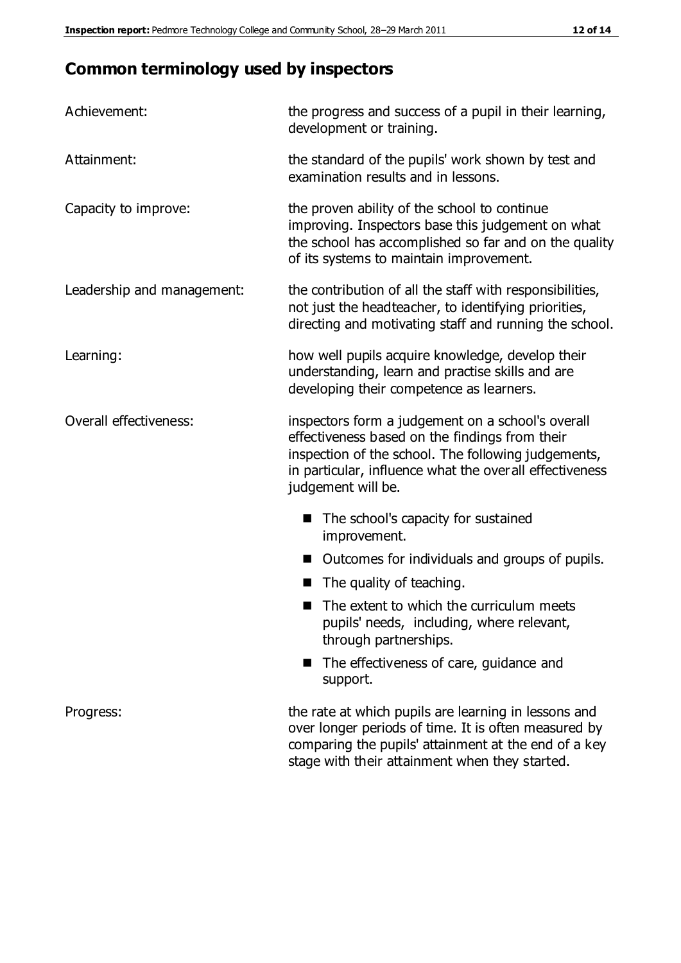# **Common terminology used by inspectors**

| Achievement:                  | the progress and success of a pupil in their learning,<br>development or training.                                                                                                                                                          |  |  |
|-------------------------------|---------------------------------------------------------------------------------------------------------------------------------------------------------------------------------------------------------------------------------------------|--|--|
| Attainment:                   | the standard of the pupils' work shown by test and<br>examination results and in lessons.                                                                                                                                                   |  |  |
| Capacity to improve:          | the proven ability of the school to continue<br>improving. Inspectors base this judgement on what<br>the school has accomplished so far and on the quality<br>of its systems to maintain improvement.                                       |  |  |
| Leadership and management:    | the contribution of all the staff with responsibilities,<br>not just the headteacher, to identifying priorities,<br>directing and motivating staff and running the school.                                                                  |  |  |
| Learning:                     | how well pupils acquire knowledge, develop their<br>understanding, learn and practise skills and are<br>developing their competence as learners.                                                                                            |  |  |
| <b>Overall effectiveness:</b> | inspectors form a judgement on a school's overall<br>effectiveness based on the findings from their<br>inspection of the school. The following judgements,<br>in particular, influence what the overall effectiveness<br>judgement will be. |  |  |
|                               | The school's capacity for sustained<br>improvement.                                                                                                                                                                                         |  |  |
|                               | Outcomes for individuals and groups of pupils.                                                                                                                                                                                              |  |  |
|                               | The quality of teaching.                                                                                                                                                                                                                    |  |  |
|                               | The extent to which the curriculum meets<br>pupils' needs, including, where relevant,<br>through partnerships.                                                                                                                              |  |  |
|                               | The effectiveness of care, guidance and<br>support.                                                                                                                                                                                         |  |  |
| Progress:                     | the rate at which pupils are learning in lessons and<br>over longer periods of time. It is often measured by<br>comparing the pupils' attainment at the end of a key                                                                        |  |  |

stage with their attainment when they started.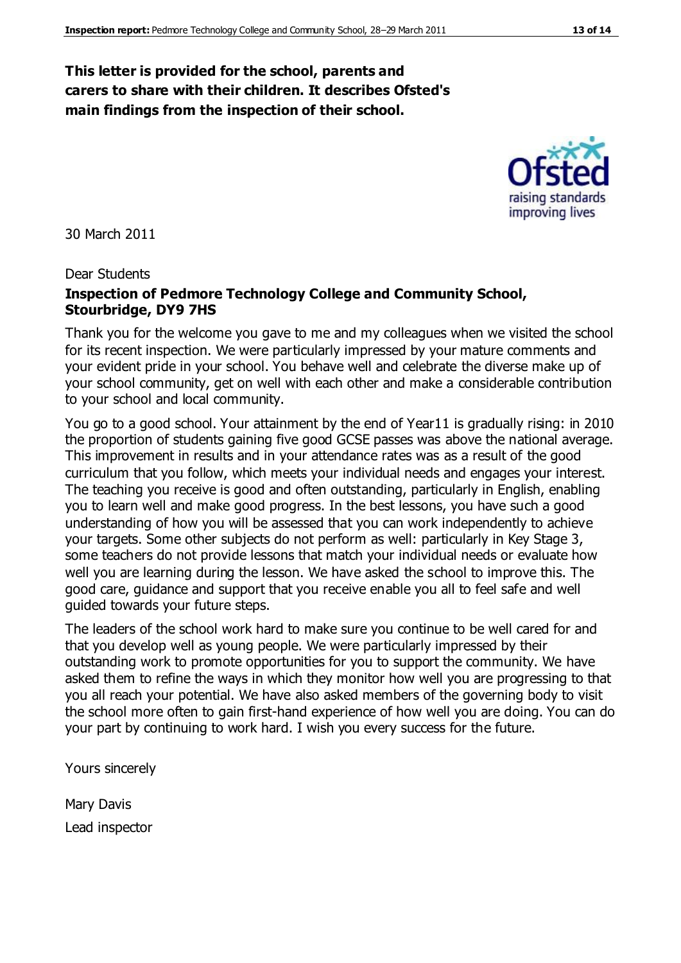#### **This letter is provided for the school, parents and carers to share with their children. It describes Ofsted's main findings from the inspection of their school.**

30 March 2011

#### Dear Students

#### **Inspection of Pedmore Technology College and Community School, Stourbridge, DY9 7HS**

Thank you for the welcome you gave to me and my colleagues when we visited the school for its recent inspection. We were particularly impressed by your mature comments and your evident pride in your school. You behave well and celebrate the diverse make up of your school community, get on well with each other and make a considerable contribution to your school and local community.

You go to a good school. Your attainment by the end of Year11 is gradually rising: in 2010 the proportion of students gaining five good GCSE passes was above the national average. This improvement in results and in your attendance rates was as a result of the good curriculum that you follow, which meets your individual needs and engages your interest. The teaching you receive is good and often outstanding, particularly in English, enabling you to learn well and make good progress. In the best lessons, you have such a good understanding of how you will be assessed that you can work independently to achieve your targets. Some other subjects do not perform as well: particularly in Key Stage 3, some teachers do not provide lessons that match your individual needs or evaluate how well you are learning during the lesson. We have asked the school to improve this. The good care, guidance and support that you receive enable you all to feel safe and well guided towards your future steps.

The leaders of the school work hard to make sure you continue to be well cared for and that you develop well as young people. We were particularly impressed by their outstanding work to promote opportunities for you to support the community. We have asked them to refine the ways in which they monitor how well you are progressing to that you all reach your potential. We have also asked members of the governing body to visit the school more often to gain first-hand experience of how well you are doing. You can do your part by continuing to work hard. I wish you every success for the future.

Yours sincerely

Mary Davis Lead inspector